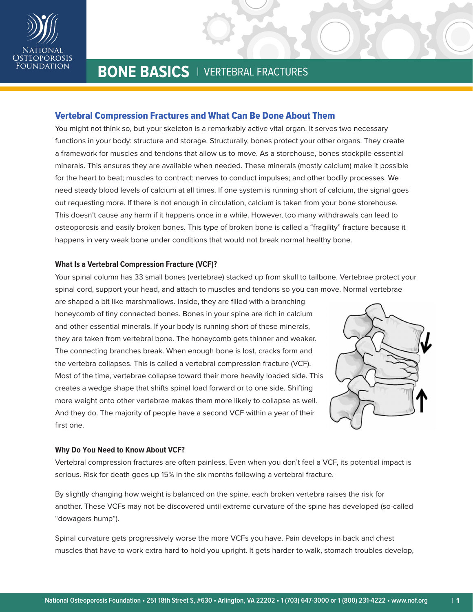

# Vertebral Compression Fractures and What Can Be Done About Them

You might not think so, but your skeleton is a remarkably active vital organ. It serves two necessary functions in your body: structure and storage. Structurally, bones protect your other organs. They create a framework for muscles and tendons that allow us to move. As a storehouse, bones stockpile essential minerals. This ensures they are available when needed. These minerals (mostly calcium) make it possible for the heart to beat; muscles to contract; nerves to conduct impulses; and other bodily processes. We need steady blood levels of calcium at all times. If one system is running short of calcium, the signal goes out requesting more. If there is not enough in circulation, calcium is taken from your bone storehouse. This doesn't cause any harm if it happens once in a while. However, too many withdrawals can lead to osteoporosis and easily broken bones. This type of broken bone is called a "fragility" fracture because it happens in very weak bone under conditions that would not break normal healthy bone.

### **What Is a Vertebral Compression Fracture (VCF)?**

Your spinal column has 33 small bones (vertebrae) stacked up from skull to tailbone. Vertebrae protect your spinal cord, support your head, and attach to muscles and tendons so you can move. Normal vertebrae

are shaped a bit like marshmallows. Inside, they are filled with a branching honeycomb of tiny connected bones. Bones in your spine are rich in calcium and other essential minerals. If your body is running short of these minerals, they are taken from vertebral bone. The honeycomb gets thinner and weaker. The connecting branches break. When enough bone is lost, cracks form and the vertebra collapses. This is called a vertebral compression fracture (VCF). Most of the time, vertebrae collapse toward their more heavily loaded side. This creates a wedge shape that shifts spinal load forward or to one side. Shifting more weight onto other vertebrae makes them more likely to collapse as well. And they do. The majority of people have a second VCF within a year of their first one.



## **Why Do You Need to Know About VCF?**

Vertebral compression fractures are often painless. Even when you don't feel a VCF, its potential impact is serious. Risk for death goes up 15% in the six months following a vertebral fracture.

By slightly changing how weight is balanced on the spine, each broken vertebra raises the risk for another. These VCFs may not be discovered until extreme curvature of the spine has developed (so-called "dowagers hump").

Spinal curvature gets progressively worse the more VCFs you have. Pain develops in back and chest muscles that have to work extra hard to hold you upright. It gets harder to walk, stomach troubles develop,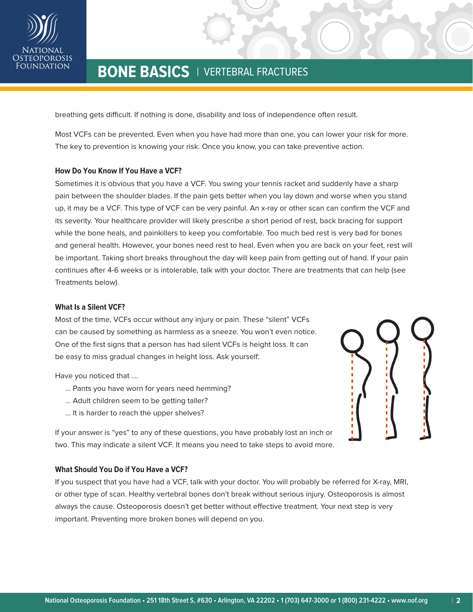

breathing gets difficult. If nothing is done, disability and loss of independence often result.

Most VCFs can be prevented. Even when you have had more than one, you can lower your risk for more. The key to prevention is knowing your risk. Once you know, you can take preventive action.

## **How Do You Know If You Have a VCF?**

Sometimes it is obvious that you have a VCF. You swing your tennis racket and suddenly have a sharp pain between the shoulder blades. If the pain gets better when you lay down and worse when you stand up, it may be a VCF. This type of VCF can be very painful. An x-ray or other scan can confirm the VCF and its severity. Your healthcare provider will likely prescribe a short period of rest, back bracing for support while the bone heals, and painkillers to keep you comfortable. Too much bed rest is very bad for bones and general health. However, your bones need rest to heal. Even when you are back on your feet, rest will be important. Taking short breaks throughout the day will keep pain from getting out of hand. If your pain continues after 4-6 weeks or is intolerable, talk with your doctor. There are treatments that can help (see Treatments below).

### **What Is a Silent VCF?**

Most of the time, VCFs occur without any injury or pain. These "silent" VCFs can be caused by something as harmless as a sneeze. You won't even notice. One of the first signs that a person has had silent VCFs is height loss. It can be easy to miss gradual changes in height loss. Ask yourself:

Have you noticed that ….

- ... Pants you have worn for years need hemming?
- ... Adult children seem to be getting taller?
- ... It is harder to reach the upper shelves?

If your answer is "yes" to any of these questions, you have probably lost an inch or two. This may indicate a silent VCF. It means you need to take steps to avoid more.

## **What Should You Do if You Have a VCF?**

If you suspect that you have had a VCF, talk with your doctor. You will probably be referred for X-ray, MRI, or other type of scan. Healthy vertebral bones don't break without serious injury. Osteoporosis is almost always the cause. Osteoporosis doesn't get better without effective treatment. Your next step is very important. Preventing more broken bones will depend on you.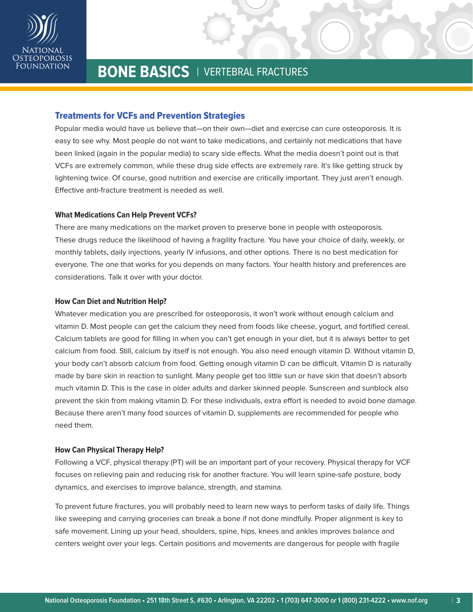

# Treatments for VCFs and Prevention Strategies

Popular media would have us believe that—on their own—diet and exercise can cure osteoporosis. It is easy to see why. Most people do not want to take medications, and certainly not medications that have been linked (again in the popular media) to scary side effects. What the media doesn't point out is that VCFs are extremely common, while these drug side effects are extremely rare. It's like getting struck by lightening twice. Of course, good nutrition and exercise are critically important. They just aren't enough. Effective anti-fracture treatment is needed as well.

## **What Medications Can Help Prevent VCFs?**

There are many medications on the market proven to preserve bone in people with osteoporosis. These drugs reduce the likelihood of having a fragility fracture. You have your choice of daily, weekly, or monthly tablets, daily injections, yearly IV infusions, and other options. There is no best medication for everyone. The one that works for you depends on many factors. Your health history and preferences are considerations. Talk it over with your doctor.

### **How Can Diet and Nutrition Help?**

Whatever medication you are prescribed for osteoporosis, it won't work without enough calcium and vitamin D. Most people can get the calcium they need from foods like cheese, yogurt, and fortified cereal. Calcium tablets are good for filling in when you can't get enough in your diet, but it is always better to get calcium from food. Still, calcium by itself is not enough. You also need enough vitamin D. Without vitamin D, your body can't absorb calcium from food. Getting enough vitamin D can be difficult. Vitamin D is naturally made by bare skin in reaction to sunlight. Many people get too little sun or have skin that doesn't absorb much vitamin D. This is the case in older adults and darker skinned people. Sunscreen and sunblock also prevent the skin from making vitamin D. For these individuals, extra effort is needed to avoid bone damage. Because there aren't many food sources of vitamin D, supplements are recommended for people who need them.

### **How Can Physical Therapy Help?**

Following a VCF, physical therapy (PT) will be an important part of your recovery. Physical therapy for VCF focuses on relieving pain and reducing risk for another fracture. You will learn spine-safe posture, body dynamics, and exercises to improve balance, strength, and stamina.

To prevent future fractures, you will probably need to learn new ways to perform tasks of daily life. Things like sweeping and carrying groceries can break a bone if not done mindfully. Proper alignment is key to safe movement. Lining up your head, shoulders, spine, hips, knees and ankles improves balance and centers weight over your legs. Certain positions and movements are dangerous for people with fragile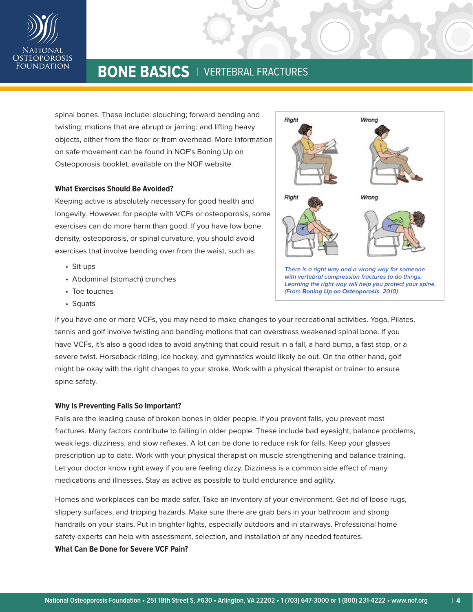

spinal bones. These include: slouching; forward bending and twisting; motions that are abrupt or jarring; and lifting heavy objects, either from the floor or from overhead. More information on safe movement can be found in NOF's Boning Up on Osteoporosis booklet, available on the NOF website.

## **What Exercises Should Be Avoided?**

Keeping active is absolutely necessary for good health and longevity. However, for people with VCFs or osteoporosis, some exercises can do more harm than good. If you have low bone density, osteoporosis, or spinal curvature, you should avoid exercises that involve bending over from the waist, such as:

- Sit-ups
- Abdominal (stomach) crunches
- Toe touches
- Squats



**with vertebral compression fractures to do things. Learning the right way will help you protect your spine. (From Boning Up on Osteoporosis. 2010)**

If you have one or more VCFs, you may need to make changes to your recreational activities. Yoga, Pilates, tennis and golf involve twisting and bending motions that can overstress weakened spinal bone. If you have VCFs, it's also a good idea to avoid anything that could result in a fall, a hard bump, a fast stop, or a severe twist. Horseback riding, ice hockey, and gymnastics would likely be out. On the other hand, golf might be okay with the right changes to your stroke. Work with a physical therapist or trainer to ensure spine safety.

### **Why Is Preventing Falls So Important?**

Falls are the leading cause of broken bones in older people. If you prevent falls, you prevent most fractures. Many factors contribute to falling in older people. These include bad eyesight, balance problems, weak legs, dizziness, and slow reflexes. A lot can be done to reduce risk for falls. Keep your glasses prescription up to date. Work with your physical therapist on muscle strengthening and balance training. Let your doctor know right away if you are feeling dizzy. Dizziness is a common side effect of many medications and illnesses. Stay as active as possible to build endurance and agility.

Homes and workplaces can be made safer. Take an inventory of your environment. Get rid of loose rugs, slippery surfaces, and tripping hazards. Make sure there are grab bars in your bathroom and strong handrails on your stairs. Put in brighter lights, especially outdoors and in stairways. Professional home safety experts can help with assessment, selection, and installation of any needed features. **What Can Be Done for Severe VCF Pain?**